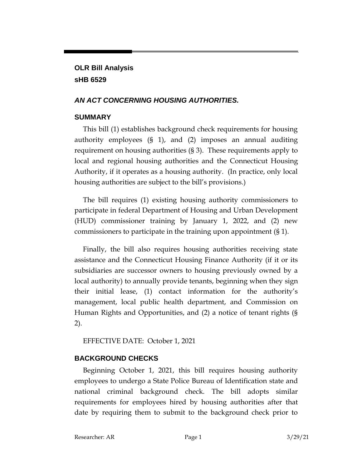# **OLR Bill Analysis sHB 6529**

#### *AN ACT CONCERNING HOUSING AUTHORITIES.*

#### **SUMMARY**

This bill (1) establishes background check requirements for housing authority employees (§ 1), and (2) imposes an annual auditing requirement on housing authorities (§ 3). These requirements apply to local and regional housing authorities and the Connecticut Housing Authority, if it operates as a housing authority. (In practice, only local housing authorities are subject to the bill's provisions.)

The bill requires (1) existing housing authority commissioners to participate in federal Department of Housing and Urban Development (HUD) commissioner training by January 1, 2022, and (2) new commissioners to participate in the training upon appointment (§ 1).

Finally, the bill also requires housing authorities receiving state assistance and the Connecticut Housing Finance Authority (if it or its subsidiaries are successor owners to housing previously owned by a local authority) to annually provide tenants, beginning when they sign their initial lease, (1) contact information for the authority's management, local public health department, and Commission on Human Rights and Opportunities, and (2) a notice of tenant rights (§ 2).

EFFECTIVE DATE: October 1, 2021

#### **BACKGROUND CHECKS**

Beginning October 1, 2021, this bill requires housing authority employees to undergo a State Police Bureau of Identification state and national criminal background check. The bill adopts similar requirements for employees hired by housing authorities after that date by requiring them to submit to the background check prior to